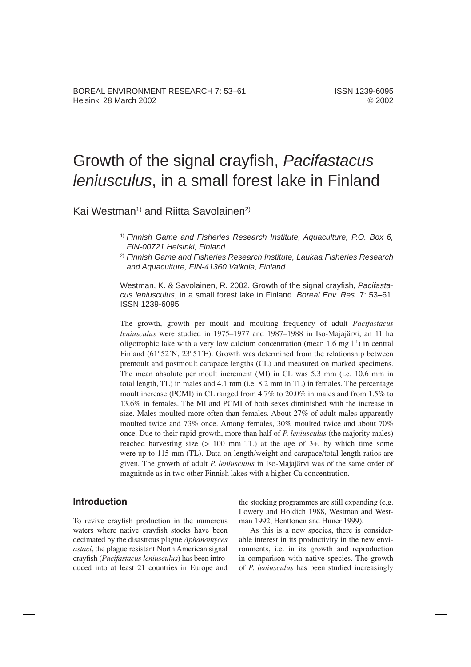# Growth of the signal crayfish, *Pacifastacus leniusculus*, in a small forest lake in Finland

Kai Westman<sup>1)</sup> and Riitta Savolainen<sup>2)</sup>

- 1) *Finnish Game and Fisheries Research Institute, Aquaculture, P.O. Box 6, FIN-00721 Helsinki, Finland*
- 2) *Finnish Game and Fisheries Research Institute, Laukaa Fisheries Research and Aquaculture, FIN-41360 Valkola, Finland*

Westman, K. & Savolainen, R. 2002. Growth of the signal crayfish, Pacifasta*cus leniusculus*, in a small forest lake in Finland. *Boreal Env. Res.* 7: 53–61. ISSN 1239-6095

The growth, growth per moult and moulting frequency of adult *Pacifastacus leniusculus* were studied in 1975–1977 and 1987–1988 in Iso-Majajärvi, an 11 ha oligotrophic lake with a very low calcium concentration (mean  $1.6 \text{ mg } l^{-1}$ ) in central Finland (61°52´N, 23°51´E). Growth was determined from the relationship between premoult and postmoult carapace lengths (CL) and measured on marked specimens. The mean absolute per moult increment (MI) in CL was 5.3 mm (i.e. 10.6 mm in total length, TL) in males and 4.1 mm (i.e. 8.2 mm in TL) in females. The percentage moult increase (PCMI) in CL ranged from 4.7% to 20.0% in males and from 1.5% to 13.6% in females. The MI and PCMI of both sexes diminished with the increase in size. Males moulted more often than females. About 27% of adult males apparently moulted twice and 73% once. Among females, 30% moulted twice and about 70% once. Due to their rapid growth, more than half of *P. leniusculus* (the majority males) reached harvesting size  $(> 100$  mm TL) at the age of 3+, by which time some were up to 115 mm (TL). Data on length/weight and carapace/total length ratios are given. The growth of adult *P. leniusculus* in Iso-Majajärvi was of the same order of magnitude as in two other Finnish lakes with a higher Ca concentration.

# **Introduction**

To revive crayfish production in the numerous waters where native crayfish stocks have been decimated by the disastrous plague *Aphanomyces astaci*, the plague resistant North American signal crayfish (*Pacifastacus leniusculus*) has been introduced into at least 21 countries in Europe and

the stocking programmes are still expanding (e.g. Lowery and Holdich 1988, Westman and Westman 1992, Henttonen and Huner 1999).

As this is a new species, there is considerable interest in its productivity in the new environments, i.e. in its growth and reproduction in comparison with native species. The growth of *P. leniusculus* has been studied increasingly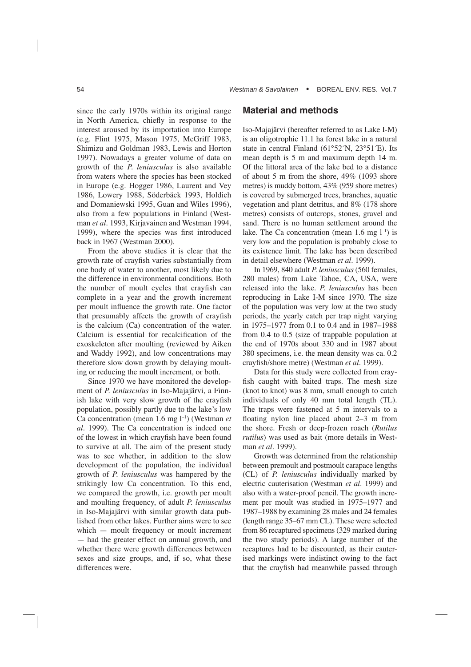since the early 1970s within its original range in North America, chiefly in response to the interest aroused by its importation into Europe (e.g. Flint 1975, Mason 1975, McGriff 1983, Shimizu and Goldman 1983, Lewis and Horton 1997). Nowadays a greater volume of data on growth of the *P. leniusculus* is also available from waters where the species has been stocked in Europe (e.g. Hogger 1986, Laurent and Vey 1986, Lowery 1988, Söderbäck 1993, Holdich and Domaniewski 1995, Guan and Wiles 1996), also from a few populations in Finland (Westman *et al*. 1993, Kirjavainen and Westman 1994, 1999), where the species was first introduced back in 1967 (Westman 2000).

From the above studies it is clear that the growth rate of crayfish varies substantially from one body of water to another, most likely due to the difference in environmental conditions. Both the number of moult cycles that crayfish can complete in a year and the growth increment per moult influence the growth rate. One factor that presumably affects the growth of crayfish is the calcium (Ca) concentration of the water. Calcium is essential for recalcification of the exoskeleton after moulting (reviewed by Aiken and Waddy 1992), and low concentrations may therefore slow down growth by delaying moulting or reducing the moult increment, or both.

Since 1970 we have monitored the development of *P. leniusculus* in Iso-Majajärvi, a Finnish lake with very slow growth of the crayfish population, possibly partly due to the lake's low Ca concentration (mean 1.6 mg l–1) (Westman *et al.* 1999). The Ca concentration is indeed one of the lowest in which crayfish have been found to survive at all. The aim of the present study was to see whether, in addition to the slow development of the population, the individual growth of *P. leniusculus* was hampered by the strikingly low Ca concentration. To this end, we compared the growth, i.e. growth per moult and moulting frequency, of adult *P. leniusculus* in Iso-Majajärvi with similar growth data published from other lakes. Further aims were to see which — moult frequency or moult increment — had the greater effect on annual growth, and whether there were growth differences between sexes and size groups, and, if so, what these differences were.

## **Material and methods**

Iso-Majajärvi (hereafter referred to as Lake I-M) is an oligotrophic 11.1 ha forest lake in a natural state in central Finland  $(61°52'N, 23°51'E)$ . Its mean depth is 5 m and maximum depth 14 m. Of the littoral area of the lake bed to a distance of about 5 m from the shore, 49% (1093 shore metres) is muddy bottom, 43% (959 shore metres) is covered by submerged trees, branches, aquatic vegetation and plant detritus, and 8% (178 shore metres) consists of outcrops, stones, gravel and sand. There is no human settlement around the lake. The Ca concentration (mean  $1.6 \text{ mg } l^{-1}$ ) is very low and the population is probably close to its existence limit. The lake has been described in detail elsewhere (Westman *et al.* 1999).

In 1969, 840 adult *P. leniusculus* (560 females, 280 males) from Lake Tahoe, CA, USA, were released into the lake. *P. leniusculus* has been reproducing in Lake I-M since 1970. The size of the population was very low at the two study periods, the yearly catch per trap night varying in 1975–1977 from 0.1 to 0.4 and in 1987–1988 from 0.4 to 0.5 (size of trappable population at the end of 1970s about 330 and in 1987 about 380 specimens, i.e. the mean density was ca. 0.2 crayfish/shore metre) (Westman *et al.* 1999).

Data for this study were collected from crayfish caught with baited traps. The mesh size (knot to knot) was 8 mm, small enough to catch individuals of only 40 mm total length (TL). The traps were fastened at 5 m intervals to a floating nylon line placed about 2–3 m from the shore. Fresh or deep-frozen roach (*Rutilus rutilus*) was used as bait (more details in Westman *et al*. 1999).

Growth was determined from the relationship between premoult and postmoult carapace lengths (CL) of *P. leniusculus* individually marked by electric cauterisation (Westman *et al.* 1999) and also with a water-proof pencil. The growth increment per moult was studied in 1975–1977 and 1987–1988 by examining 28 males and 24 females (length range 35–67 mm CL). These were selected from 86 recaptured specimens (329 marked during the two study periods). A large number of the recaptures had to be discounted, as their cauterised markings were indistinct owing to the fact that the crayfish had meanwhile passed through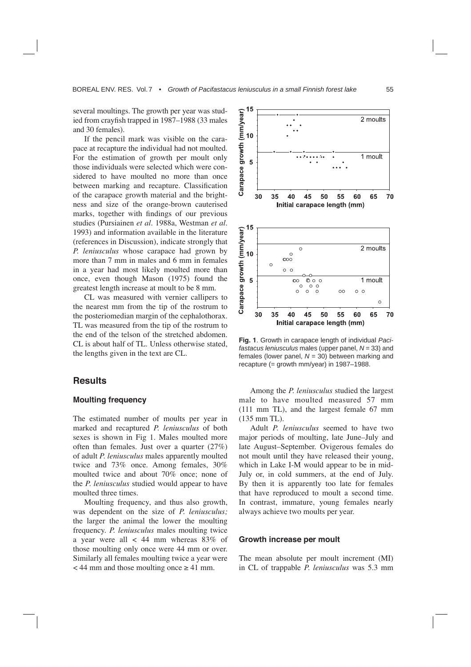several moultings. The growth per year was studied from crayfish trapped in 1987–1988 (33 males and 30 females).

If the pencil mark was visible on the carapace at recapture the individual had not moulted. For the estimation of growth per moult only those individuals were selected which were considered to have moulted no more than once between marking and recapture. Classification of the carapace growth material and the brightness and size of the orange-brown cauterised marks, together with findings of our previous studies (Pursiainen *et al.* 1988a, Westman *et al.* 1993) and information available in the literature (references in Discussion), indicate strongly that *P. leniusculus* whose carapace had grown by more than 7 mm in males and 6 mm in females in a year had most likely moulted more than once, even though Mason (1975) found the greatest length increase at moult to be 8 mm.

CL was measured with vernier callipers to the nearest mm from the tip of the rostrum to the posteriomedian margin of the cephalothorax. TL was measured from the tip of the rostrum to the end of the telson of the stretched abdomen. CL is about half of TL. Unless otherwise stated, the lengths given in the text are CL.

## **Results**

#### **Moulting frequency**

The estimated number of moults per year in marked and recaptured *P. leniusculus* of both sexes is shown in Fig 1. Males moulted more often than females. Just over a quarter (27%) of adult *P. leniusculus* males apparently moulted twice and 73% once. Among females, 30% moulted twice and about 70% once; none of the *P. leniusculus* studied would appear to have moulted three times.

Moulting frequency, and thus also growth, was dependent on the size of *P. leniusculus;*  the larger the animal the lower the moulting frequency. *P. leniusculus* males moulting twice a year were all < 44 mm whereas 83% of those moulting only once were 44 mm or over. Similarly all females moulting twice a year were  $<$  44 mm and those moulting once  $\geq$  41 mm.



**Fig. 1**. Growth in carapace length of individual *Pacifastacus leniusculus* males (upper panel, *N* = 33) and females (lower panel, *N* = 30) between marking and recapture (= growth mm/year) in 1987–1988.

Among the *P. leniusculus* studied the largest male to have moulted measured 57 mm (111 mm TL), and the largest female 67 mm (135 mm TL).

Adult *P. leniusculus* seemed to have two major periods of moulting, late June–July and late August–September. Ovigerous females do not moult until they have released their young, which in Lake I-M would appear to be in mid-July or, in cold summers, at the end of July. By then it is apparently too late for females that have reproduced to moult a second time. In contrast, immature, young females nearly always achieve two moults per year.

#### **Growth increase per moult**

The mean absolute per moult increment (MI) in CL of trappable *P. leniusculus* was 5.3 mm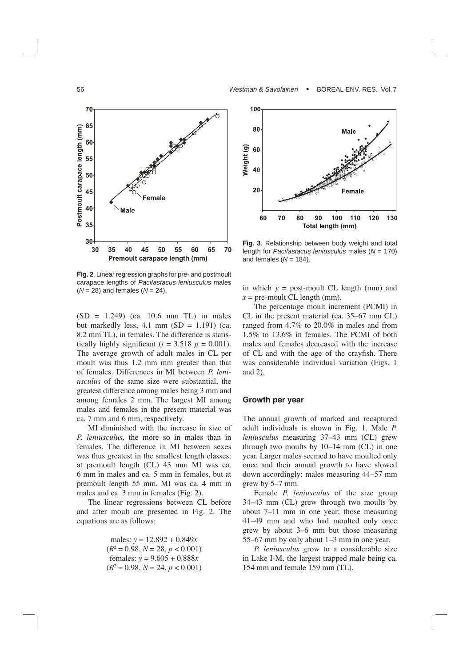

**Fig. 2**. Linear regression graphs for pre- and postmoult carapace lengths of *Pacifastacus leniusculus* males (*N* = 28) and females (*N* = 24).

 $(SD = 1.249)$  (ca. 10.6 mm TL) in males but markedly less, 4.1 mm  $(SD = 1.191)$  (ca. 8.2 mm TL), in females. The difference is statistically highly significant  $(t = 3.518 \text{ p} = 0.001)$ . The average growth of adult males in CL per moult was thus 1.2 mm mm greater than that of females. Differences in MI between *P. leniusculus* of the same size were substantial, the greatest difference among males being 3 mm and among females 2 mm. The largest MI among males and females in the present material was ca. 7 mm and 6 mm, respectively.

MI diminished with the increase in size of *P. leniusculus*, the more so in males than in females. The difference in MI between sexes was thus greatest in the smallest length classes: at premoult length (CL) 43 mm MI was ca. 6 mm in males and ca. 5 mm in females, but at premoult length 55 mm, MI was ca. 4 mm in males and ca. 3 mm in females (Fig. 2).

The linear regressions between CL before and after moult are presented in Fig. 2. The equations are as follows:

males: 
$$
y = 12.892 + 0.849x
$$
  
\n( $R^2 = 0.98, N = 28, p < 0.001$ )  
\n females:  $y = 9.605 + 0.888x$   
\n( $R^2 = 0.98, N = 24, p < 0.001$ )



**Fig. 3**. Relationship between body weight and total length for *Pacifastacus leniusculus* males (*N* = 170) and females  $(N = 184)$ .

in which *y* = post-moult CL length (mm) and  $x =$  pre-moult CL length (mm).

The percentage moult increment (PCMI) in CL in the present material (ca. 35–67 mm CL) ranged from 4.7% to 20.0% in males and from 1.5% to 13.6% in females. The PCMI of both males and females decreased with the increase of CL and with the age of the crayfish. There was considerable individual variation (Figs. 1 and 2).

#### **Growth per year**

The annual growth of marked and recaptured adult individuals is shown in Fig. 1. Male *P. leniusculus* measuring 37–43 mm (CL) grew through two moults by 10–14 mm (CL) in one year. Larger males seemed to have moulted only once and their annual growth to have slowed down accordingly: males measuring 44–57 mm grew by 5–7 mm.

Female *P. leniusculus* of the size group 34–43 mm (CL) grew through two moults by about 7–11 mm in one year; those measuring 41–49 mm and who had moulted only once grew by about 3–6 mm but those measuring 55–67 mm by only about 1–3 mm in one year.

*P. leniusculus* grow to a considerable size in Lake I-M, the largest trapped male being ca. 154 mm and female 159 mm (TL).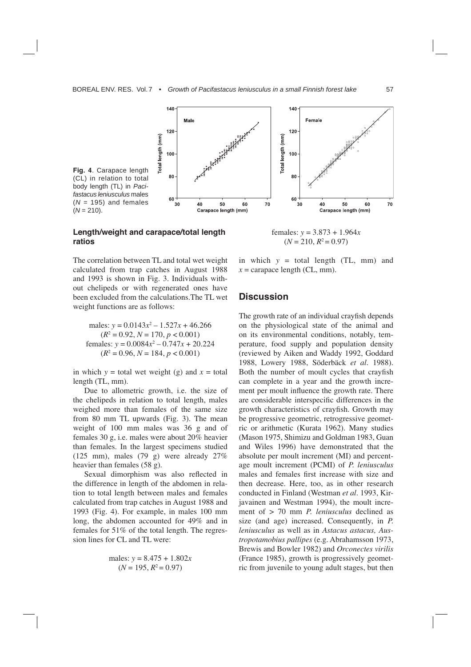

### **Length/weight and carapace/total length ratios**



The correlation between TL and total wet weight calculated from trap catches in August 1988 and 1993 is shown in Fig. 3. Individuals without chelipeds or with regenerated ones have been excluded from the calculations.The TL wet weight functions are as follows:

males:  $y = 0.0143x^2 - 1.527x + 46.266$  $(R^2 = 0.92, N = 170, p < 0.001)$ females:  $y = 0.0084x^2 - 0.747x + 20.224$  $(R^2 = 0.96, N = 184, p < 0.001)$ 

in which  $y =$  total wet weight (g) and  $x =$  total length (TL, mm).

Due to allometric growth, i.e. the size of the chelipeds in relation to total length, males weighed more than females of the same size from 80 mm TL upwards (Fig. 3). The mean weight of 100 mm males was 36 g and of females 30 g, i.e. males were about 20% heavier than females. In the largest specimens studied (125 mm), males (79 g) were already 27% heavier than females (58 g).

Sexual dimorphism was also reflected in the difference in length of the abdomen in relation to total length between males and females calculated from trap catches in August 1988 and 1993 (Fig. 4). For example, in males 100 mm long, the abdomen accounted for 49% and in females for 51% of the total length. The regression lines for CL and TL were:

males: 
$$
y = 8.475 + 1.802x
$$
  
( $N = 195, R^2 = 0.97$ )

in which *y* = total length (TL, mm) and  $x =$  carapace length (CL, mm).

## **Discussion**

The growth rate of an individual crayfish depends on the physiological state of the animal and on its environmental conditions, notably, temperature, food supply and population density (reviewed by Aiken and Waddy 1992, Goddard 1988, Lowery 1988, Söderbäck *et al*. 1988). Both the number of moult cycles that crayfish can complete in a year and the growth increment per moult influence the growth rate. There are considerable interspecific differences in the growth characteristics of crayfish. Growth may be progressive geometric, retrogressive geometric or arithmetic (Kurata 1962). Many studies (Mason 1975, Shimizu and Goldman 1983, Guan and Wiles 1996) have demonstrated that the absolute per moult increment (MI) and percentage moult increment (PCMI) of *P. leniusculus* males and females first increase with size and then decrease. Here, too, as in other research conducted in Finland (Westman *et al*. 1993, Kirjavainen and Westman 1994), the moult increment of > 70 mm *P. leniusculus* declined as size (and age) increased. Consequently, in *P. leniusculus* as well as in *Astacus astacus, Austropotamobius pallipes* (e.g. Abrahamsson 1973, Brewis and Bowler 1982) and *Orconectes virilis*  (France 1985), growth is progressively geometric from juvenile to young adult stages, but then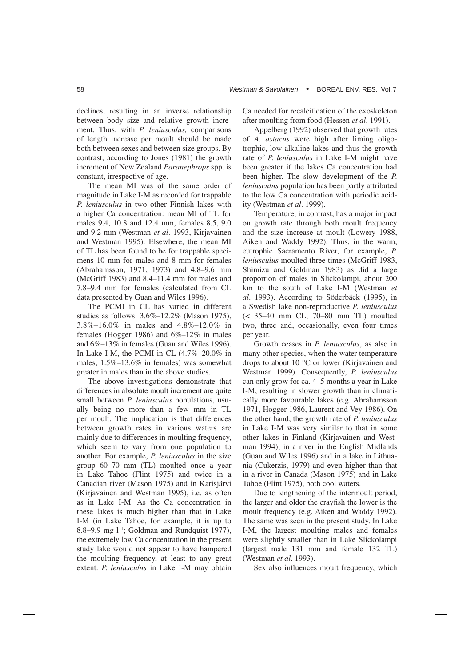declines, resulting in an inverse relationship between body size and relative growth increment. Thus, with *P. leniusculus,* comparisons of length increase per moult should be made both between sexes and between size groups. By contrast, according to Jones (1981) the growth increment of New Zealand *Paranephrops* spp. is constant, irrespective of age.

The mean MI was of the same order of magnitude in Lake I-M as recorded for trappable *P. leniusculus* in two other Finnish lakes with a higher Ca concentration: mean MI of TL for males 9.4, 10.8 and 12.4 mm, females 8.5, 9.0 and 9.2 mm (Westman *et al*. 1993, Kirjavainen and Westman 1995). Elsewhere, the mean MI of TL has been found to be for trappable specimens 10 mm for males and 8 mm for females (Abrahamsson, 1971, 1973) and 4.8–9.6 mm (McGriff 1983) and 8.4–11.4 mm for males and 7.8–9.4 mm for females (calculated from CL data presented by Guan and Wiles 1996).

The PCMI in CL has varied in different studies as follows: 3.6%–12.2% (Mason 1975), 3.8%–16.0% in males and 4.8%–12.0% in females (Hogger 1986) and 6%–12% in males and 6%–13% in females (Guan and Wiles 1996). In Lake I-M, the PCMI in CL (4.7%–20.0% in males, 1.5%–13.6% in females) was somewhat greater in males than in the above studies.

The above investigations demonstrate that differences in absolute moult increment are quite small between *P. leniusculus* populations, usually being no more than a few mm in TL per moult. The implication is that differences between growth rates in various waters are mainly due to differences in moulting frequency, which seem to vary from one population to another. For example, *P. leniusculus* in the size group 60–70 mm (TL) moulted once a year in Lake Tahoe (Flint 1975) and twice in a Canadian river (Mason 1975) and in Karisjärvi (Kirjavainen and Westman 1995), i.e. as often as in Lake I-M. As the Ca concentration in these lakes is much higher than that in Lake I-M (in Lake Tahoe, for example, it is up to 8.8–9.9 mg  $l^{-1}$ ; Goldman and Rundquist 1977), the extremely low Ca concentration in the present study lake would not appear to have hampered the moulting frequency, at least to any great extent. *P. leniusculus* in Lake I-M may obtain Ca needed for recalcification of the exoskeleton after moulting from food (Hessen *et al.* 1991).

Appelberg (1992) observed that growth rates of *A. astacus* were high after liming oligotrophic, low-alkaline lakes and thus the growth rate of *P. leniusculus* in Lake I-M might have been greater if the lakes Ca concentration had been higher. The slow development of the *P. leniusculus* population has been partly attributed to the low Ca concentration with periodic acidity (Westman *et al.* 1999).

Temperature, in contrast, has a major impact on growth rate through both moult frequency and the size increase at moult (Lowery 1988, Aiken and Waddy 1992). Thus, in the warm, eutrophic Sacramento River, for example, *P. leniusculus* moulted three times (McGriff 1983, Shimizu and Goldman 1983) as did a large proportion of males in Slickolampi, about 200 km to the south of Lake I-M (Westman *et al.* 1993). According to Söderbäck (1995), in a Swedish lake non-reproductive *P. leniusculus* (< 35–40 mm CL, 70–80 mm TL) moulted two, three and, occasionally, even four times per year.

Growth ceases in *P. leniusculus*, as also in many other species, when the water temperature drops to about 10 °C or lower (Kirjavainen and Westman 1999). Consequently, *P. leniusculus*  can only grow for ca. 4–5 months a year in Lake I-M, resulting in slower growth than in climatically more favourable lakes (e.g. Abrahamsson 1971, Hogger 1986, Laurent and Vey 1986). On the other hand, the growth rate of *P. leniusculus* in Lake I-M was very similar to that in some other lakes in Finland (Kirjavainen and Westman 1994), in a river in the English Midlands (Guan and Wiles 1996) and in a lake in Lithuania (Cukerzis, 1979) and even higher than that in a river in Canada (Mason 1975) and in Lake Tahoe (Flint 1975), both cool waters.

Due to lengthening of the intermoult period, the larger and older the crayfish the lower is the moult frequency (e.g. Aiken and Waddy 1992). The same was seen in the present study. In Lake I-M, the largest moulting males and females were slightly smaller than in Lake Slickolampi (largest male 131 mm and female 132 TL) (Westman *et al.* 1993).

Sex also influences moult frequency, which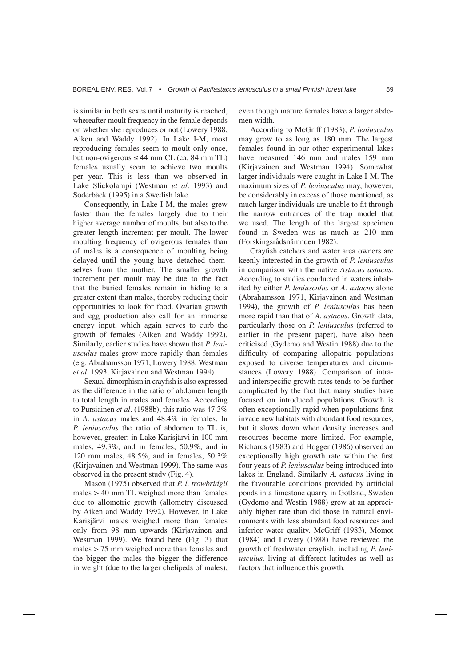is similar in both sexes until maturity is reached, whereafter moult frequency in the female depends on whether she reproduces or not (Lowery 1988, Aiken and Waddy 1992). In Lake I-M, most reproducing females seem to moult only once, but non-ovigerous  $\leq 44$  mm CL (ca. 84 mm TL) females usually seem to achieve two moults per year. This is less than we observed in Lake Slickolampi (Westman *et al.* 1993) and Söderbäck (1995) in a Swedish lake.

Consequently, in Lake I-M, the males grew faster than the females largely due to their higher average number of moults, but also to the greater length increment per moult. The lower moulting frequency of ovigerous females than of males is a consequence of moulting being delayed until the young have detached themselves from the mother. The smaller growth increment per moult may be due to the fact that the buried females remain in hiding to a greater extent than males, thereby reducing their opportunities to look for food. Ovarian growth and egg production also call for an immense energy input, which again serves to curb the growth of females (Aiken and Waddy 1992). Similarly, earlier studies have shown that *P. leniusculus* males grow more rapidly than females (e.g. Abrahamsson 1971, Lowery 1988, Westman *et al*. 1993, Kirjavainen and Westman 1994).

Sexual dimorphism in crayfish is also expressed as the difference in the ratio of abdomen length to total length in males and females. According to Pursiainen *et al.* (1988b), this ratio was 47.3% in *A. astacus* males and 48.4% in females. In *P. leniusculus* the ratio of abdomen to TL is, however, greater: in Lake Karisjärvi in 100 mm males, 49.3%, and in females, 50.9%, and in 120 mm males, 48.5%, and in females, 50.3% (Kirjavainen and Westman 1999). The same was observed in the present study (Fig. 4).

Mason (1975) observed that *P. l. trowbridgii* males > 40 mm TL weighed more than females due to allometric growth (allometry discussed by Aiken and Waddy 1992). However, in Lake Karisjärvi males weighed more than females only from 98 mm upwards (Kirjavainen and Westman 1999). We found here (Fig. 3) that males > 75 mm weighed more than females and the bigger the males the bigger the difference in weight (due to the larger chelipeds of males), even though mature females have a larger abdomen width.

According to McGriff (1983), *P. leniusculus* may grow to as long as 180 mm. The largest females found in our other experimental lakes have measured 146 mm and males 159 mm (Kirjavainen and Westman 1994). Somewhat larger individuals were caught in Lake I-M. The maximum sizes of *P. leniusculus* may, however, be considerably in excess of those mentioned, as much larger individuals are unable to fit through the narrow entrances of the trap model that we used. The length of the largest specimen found in Sweden was as much as 210 mm (Forskingsrådsnämnden 1982).

Crayfish catchers and water area owners are keenly interested in the growth of *P. leniusculus* in comparison with the native *Astacus astacus.*  According to studies conducted in waters inhabited by either *P. leniusculus* or *A. astacus* alone (Abrahamsson 1971, Kirjavainen and Westman 1994), the growth of *P. leniusculus* has been more rapid than that of *A. astacus*. Growth data, particularly those on *P. leniusculus* (referred to earlier in the present paper), have also been criticised (Gydemo and Westin 1988) due to the difficulty of comparing allopatric populations exposed to diverse temperatures and circumstances (Lowery 1988). Comparison of intraand interspecific growth rates tends to be further complicated by the fact that many studies have focused on introduced populations. Growth is often exceptionally rapid when populations first invade new habitats with abundant food resources, but it slows down when density increases and resources become more limited. For example, Richards (1983) and Hogger (1986) observed an exceptionally high growth rate within the first four years of *P. leniusculus* being introduced into lakes in England. Similarly *A. astacus* living in the favourable conditions provided by artificial ponds in a limestone quarry in Gotland, Sweden (Gydemo and Westin 1988) grew at an appreciably higher rate than did those in natural environments with less abundant food resources and inferior water quality. McGriff (1983), Momot (1984) and Lowery (1988) have reviewed the growth of freshwater crayfish, including *P. leniusculus,* living at different latitudes as well as factors that influence this growth.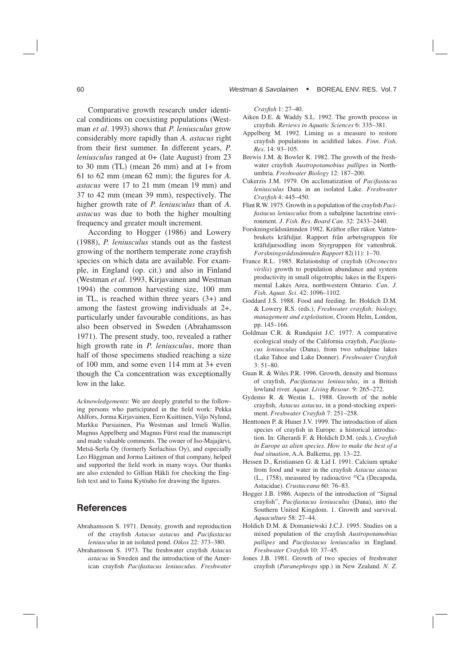Comparative growth research under identical conditions on coexisting populations (Westman *et al.* 1993) shows that *P. leniusculus* grow considerably more rapidly than *A. astacus* right from their first summer. In different years, *P. leniusculus* ranged at 0+ (late August) from 23 to 30 mm (TL) (mean  $26$  mm) and at  $1+$  from 61 to 62 mm (mean 62 mm); the figures for *A. astacus* were 17 to 21 mm (mean 19 mm) and 37 to 42 mm (mean 39 mm), respectively. The higher growth rate of *P. leniusculus* than of *A. astacus* was due to both the higher moulting frequency and greater moult increment.

According to Hogger (1986) and Lowery (1988), *P. leniusculus* stands out as the fastest growing of the northern temperate zone crayfish species on which data are available. For example, in England (op. cit.) and also in Finland (Westman *et al.* 1993, Kirjavainen and Westman 1994) the common harvesting size, 100 mm in TL, is reached within three years (3+) and among the fastest growing individuals at 2+, particularly under favourable conditions, as has also been observed in Sweden (Abrahamsson 1971). The present study, too, revealed a rather high growth rate in *P. leniusculus*, more than half of those specimens studied reaching a size of 100 mm, and some even 114 mm at 3+ even though the Ca concentration was exceptionally low in the lake.

*Acknowledgements*: We are deeply grateful to the following persons who participated in the field work: Pekka Ahlfors, Jorma Kirjavainen, Eero Kuittinen, Viljo Nylund, Markku Pursiainen, Pia Westman and Irmeli Wallin. Magnus Appelberg and Magnus Fürst read the manuscript and made valuable comments. The owner of Iso-Majajärvi, Metsä-Serla Oy (formerly Serlachius Oy), and especially Leo Häggman and Jorma Laitinen of that company, helped and supported the field work in many ways. Our thanks are also extended to Gillian Häkli for checking the English text and to Taina Kytöaho for drawing the figures.

# **References**

- Abrahamsson S. 1971. Density, growth and reproduction of the crayfish *Astacus astacus* and *Pacifastacus leniusculus* in an isolated pond. *Oikos* 22: 373–380.
- Abrahamsson S. 1973. The freshwater crayfish *Astacus astacus* in Sweden and the introduction of the American crayfish *Pacifastacus leniusculus*. *Freshwater*

*Crayfish* 1: 27–40.

- Aiken D.E. & Waddy S.L. 1992. The growth process in crayfish. *Reviews in Aquatic Sciences* 6: 335–381.
- Appelberg M. 1992. Liming as a measure to restore crayfish populations in acidified lakes. *Finn. Fish. Res*. 14: 93–105.
- Brewis J.M. & Bowler K. 1982. The growth of the freshwater crayfish *Austropotamobius pallipes* in Northumbria. *Freshwater Biology* 12: 187–200.
- Cukerzis J.M. 1979. On acclimatization of *Pacifastacus leniusculus* Dana in an isolated Lake. *Freshwater Crayfi sh* 4: 445–450.
- Flint R.W. 1975. Growth in a population of the crayfish *Pacifastacus leniusculus* from a subalpine lacustrine environment. *J. Fish. Res. Board Can*. 32: 2433–2440.
- Forskningsrådsnämnden 1982. Kräftor eller räkor. Vattenbrukets kräftdjur. Rapport från arbetsgruppen för kräftdjursodling inom Styrgruppen för vattenbruk. *Forskningsrådsnämnden Rapport* 82(11): 1–70.
- France R.L. 1985. Relationship of crayfish (*Orconectes virilis*) growth to population abundance and system productivity in small oligotrophic lakes in the Experimental Lakes Area, northwestern Ontario. *Can. J. Fish. Aquat. Sci*. 42: 1096–1102.
- Goddard J.S. 1988. Food and feeding. In: Holdich D.M.  $&$  Lowery R.S. (eds.), *Freshwater crayfish: biology*, *management and exploitation*, Croom Helm, London, pp. 145–166.
- Goldman C.R. & Rundquist J.C. 1977. A comparative ecological study of the California crayfish, *Pacifastacus leniusculus* (Dana), from two subalpine lakes (Lake Tahoe and Lake Donner). **Freshwater Crayfish** 3: 51–80.
- Guan R. & Wiles P.R. 1996. Growth, density and biomass of crayfish, *Pacifastacus leniusculus*, in a British lowland river. *Aquat. Living Resour*. 9: 265–272.
- Gydemo R. & Westin L. 1988. Growth of the noble crayfish, *Astacus astacus*, in a pond-stocking experiment. Freshwater Crayfish 7: 251-258.
- Henttonen P. & Huner J.V. 1999. The introduction of alien species of crayfish in Europe: a historical introduction. In: Gherardi F. & Holdich D.M. (eds.), *Crayfish in Europe as alien species. How to make the best of a bad situation*, A.A. Balkema, pp. 13–22.
- Hessen D., Kristiansen G. & Lid I. 1991. Calcium uptake from food and water in the crayfish *Astacus astacus* (L., 1758), measured by radioactive 45Ca (Decapoda, Astacidae). *Crustaceana* 60: 76–83.
- Hogger J.B. 1986. Aspects of the introduction of "Signal crayfish", *Pacifastacus leniusculus* (Dana), into the Southern United Kingdom. 1. Growth and survival. *Aquaculture* 58: 27–44.
- Holdich D.M. & Domaniewski J.C.J. 1995. Studies on a mixed population of the crayfish *Austropotamobius pallipes* and *Pacifastacus leniusculus* in England. *Freshwater Crayfish* 10: 37-45.
- Jones J.B. 1981. Growth of two species of freshwater crayfish (*Paranephrops* spp.) in New Zealand. *N. Z.*